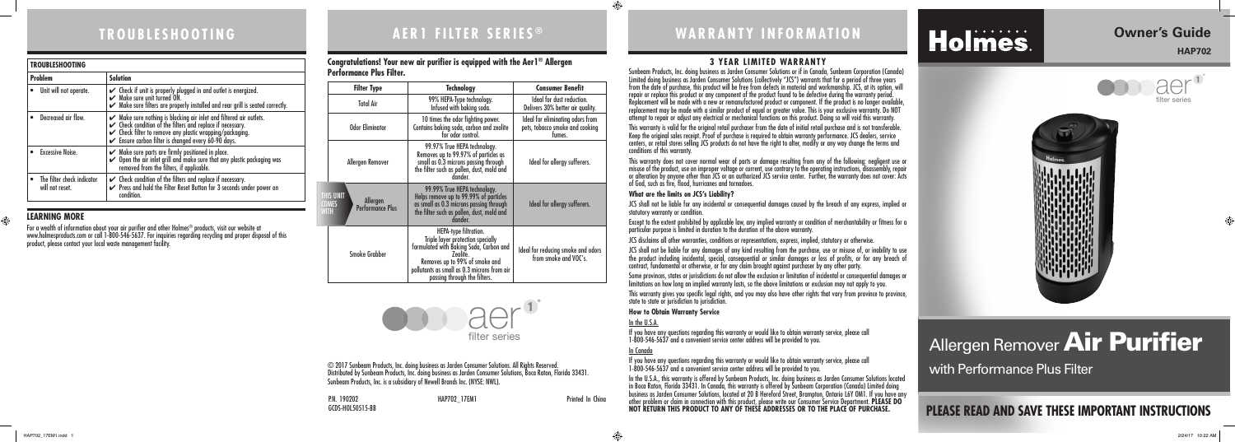#### **3 YEAR LIMITED WARRANTY**

Sunbeam Products, Inc. doing business as Jarden Consumer Solutions or if in Canada, Sunbeam Corporation (Canada) Limited doing business as Jarden Consumer Solutions (collectively "JCS") warrants that for a period of three years from the date of purchase, this product will be free from defects in material and workmanship. JCS, at its option, will repair or replace this product or any component of the product found to be defective during the warranty period. Replacement will be made with a new or remanufactured product or component. If the product is no longer available, replacement may be made with a similar product of equal or greater value. This is your exclusive warranty. Do NOT attempt to repair or adjust any electrical or mechanical functions on this product. Doing so will void this warranty.

This warranty is valid for the original retail purchaser from the date of initial retail purchase and is not transferable. Keep the original sales receipt. Proof of purchase is required to obtain warranty performance. JCS dealers, service centers, or retail stores selling JCS products do not have the right to alter, modify or any way change the terms and conditions of this warranty.

This warranty does not cover normal wear of parts or damage resulting from any of the following: negligent use or misuse of the product, use on improper voltage or current, use contrary to the operating instructions, disassembly, repair or alteration by anyone other than JCS or an authorized JCS service center. Further, the warranty does not cover: Acts of God, such as fire, flood, hurricanes and tornadoes.

**What are the limits on JCS's Liability?** 

JCS shall not be liable for any incidental or consequential damages caused by the breach of any express, implied or statutory warranty or condition.

Except to the extent prohibited by applicable law, any implied warranty or condition of merchantability or fitness for a particular purpose is limited in duration to the duration of the above warranty. JCS disclaims all other warranties, conditions or representations, express, implied, statutory or otherwise.

P.N. 190202 **Example 20** HAP702 17EM1 **Printed In China** GCDS-HOL50515-BB

JCS shall not be liable for any damages of any kind resulting from the purchase, use or misuse of, or inability to use the product including incidental, special, consequential or similar damages or loss of profits, or for any breach of contract, fundamental or otherwise, or for any claim brought against purchaser by any other party.

Some provinces, states or jurisdictions do not allow the exclusion or limitation of incidental or consequential damages or limitations on how long an implied warranty lasts, so the above limitations or exclusion may not apply to you.

This warranty gives you specific legal rights, and you may also have other rights that vary from province to province, state to state or jurisdiction to jurisdiction.

#### **How to Obtain Warranty Service**

In the U.S.A.

If you have any questions regarding this warranty or would like to obtain warranty service, please call 1-800-546-5637 and a convenient service center address will be provided to you.

In Canada

If you have any questions regarding this warranty or would like to obtain warranty service, please call 1-800-546-5637 and a convenient service center address will be provided to you.

In the U.S.A., this warranty is offered by Sunbeam Products, Inc. doing business as Jarden Consumer Solutions located in Boca Raton, Florida 33431. In Canada, this warranty is offered by Sunbeam Corporation (Canada) Limited doing business as Jarden Consumer Solutions, located at 20 B Hereford Street, Brampton, Ontario L6Y OM1. If you have any other problem or claim in connection with this product, please write our Consumer Service Department. **PLEASE DO NOT RETURN THIS PRODUCT TO ANY OF THESE ADDRESSES OR TO THE PLACE OF PURCHASE.** 

Napada 1 2/24/17 10:22 AM and 1 2/24/17 10:22 AM and 1 1 2/24/17 10:22 AM and 1 2/24/17 10:22 AM and 1 2024/17

 $\bigoplus$ 

# **AER1 FILTER SERIES T R O U B L E S H O O T I N G ® WARRANTY INFORMATION**

# Holmes.

# **PLEASE READ AND SAVE THESE IMPORTANT INSTRUCTIONS**

## **Owner's Guide HAP702**

# Allergen Remover Air Purifier

with Performance Plus Filter © 2017 Sunbeam Products, Inc. doing business as Jarden Consumer Solutions. All Rights Reserved. Distributed by Sunbeam Products, Inc. doing business as Jarden Consumer Solutions, Boca Raton, Florida 33431. Sunbeam Products, Inc. is a subsidiary of Newell Brands Inc. (NYSE: NWL).

#### **LEARNING MORE**

 $\bigoplus$ 

For a wealth of information about your air purifier and other Holmes® products, visit our website at www.holmesproducts.com or call 1-800-546-5637. For inquiries regarding recycling and proper disposal of this product, please contact your local waste management facility.

#### **Congratulations! Your new air purifier is equipped with the Aer1® Allergen Performance Plus Filter.**

|             | <b>Filter Type</b>                                        | <b>Technology</b>                                                                                                                                                                                                                  | <b>Consumer Benefit</b>                                                       |
|-------------|-----------------------------------------------------------|------------------------------------------------------------------------------------------------------------------------------------------------------------------------------------------------------------------------------------|-------------------------------------------------------------------------------|
|             | <b>Total Air</b>                                          | 99% HEPA-Type technology.<br>Infused with baking soda.                                                                                                                                                                             | Ideal for dust reduction.<br>Delivers 30% better air quality.                 |
|             | Odor Eliminator                                           | 10 times the odor fighting power.<br>Contains baking soda, carbon and zeolite<br>for odor control.                                                                                                                                 | Ideal for eliminating odors from<br>pets, tobacco smoke and cooking<br>fumes. |
|             | Allergen Remover                                          | 99.97% True HEPA technology.<br>Removes up to 99.97% of particles as<br>small as 0.3 microns passing through<br>the filter such as pollen, dust, mold and<br>dander.                                                               | Ideal for allergy sufferers.                                                  |
| <b>WITH</b> | THIS UNIT<br>Allergen<br>COMES<br><b>Performance Plus</b> | 99.99% True HEPA technology.<br>Helps remove up to 99.99% of particles<br>as small as 0.3 microns passing through<br>the filter such as pollen, dust, mold and<br>dander.                                                          | Ideal for allergy sufferers.                                                  |
|             | <b>Smoke Grabber</b>                                      | HEPA-type filtration.<br>Triple layer protection specially<br>formulated with Baking Soda, Carbon and<br>Zeolite.<br>Removes up to 99% of smoke and<br>pollutants as small as 0.3 microns from air<br>passing through the filters. | Ideal for reducing smoke and odors<br>from smoke and VOC's.                   |







| <b>TROUBLESHOOTING</b>                        |                                                                                                                                                                                                                                                                         |  |  |
|-----------------------------------------------|-------------------------------------------------------------------------------------------------------------------------------------------------------------------------------------------------------------------------------------------------------------------------|--|--|
| <b>Problem</b>                                | <b>Solution</b>                                                                                                                                                                                                                                                         |  |  |
| Unit will not operate.                        | $\checkmark$ Check if unit is properly plugged in and outlet is energized.<br>$\swarrow$ Make sure unit turned $\overline{ON}$ .<br>$\triangleright$ Make sure filters are properly installed and rear grill is seated correctly.                                       |  |  |
| Decreased air flow.                           | $\mathcal V$ Make sure nothing is blocking air inlet and filtered air outlets.<br>$\checkmark$ Check condition of the filters and replace if necessary.<br>Check filter to remove any plastic wrapping/packaging.<br>Consure carbon filter is changed every 60-90 days. |  |  |
| <b>Excessive Noise.</b>                       | $\checkmark$ Make sure parts are firmly positioned in place.<br>$\checkmark$ Open the air inlet grill and make sure that any plastic packaging was<br>removed from the filters, if applicable.                                                                          |  |  |
| The filter check indicator<br>will not reset. | $\checkmark$ Check condition of the filters and replace if necessary.<br>Press and hold the Filter Reset Button for 3 seconds under power on<br>condition.                                                                                                              |  |  |